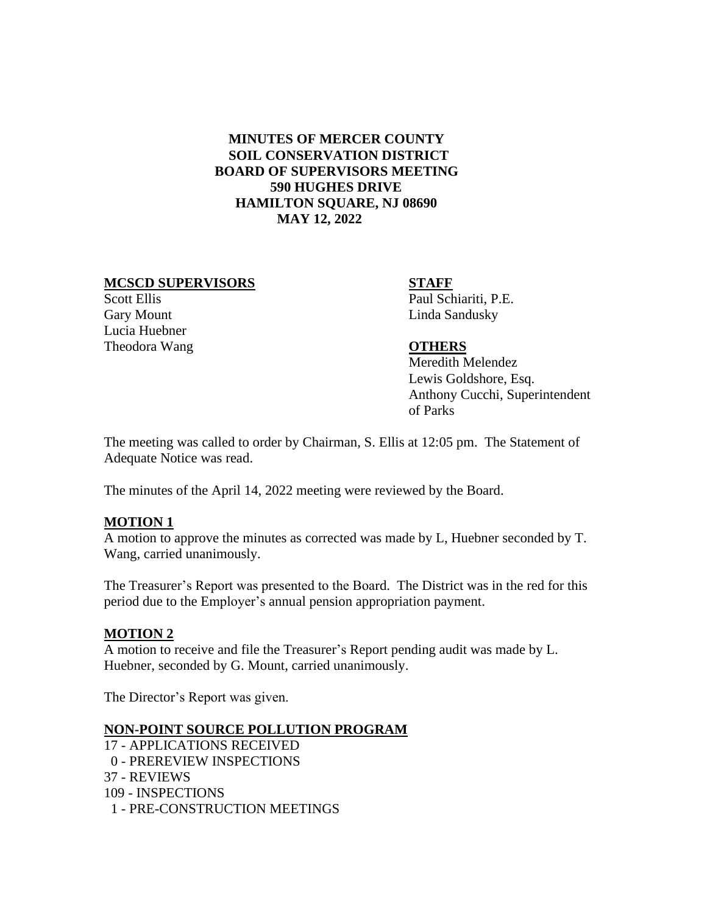# **MINUTES OF MERCER COUNTY SOIL CONSERVATION DISTRICT BOARD OF SUPERVISORS MEETING 590 HUGHES DRIVE HAMILTON SQUARE, NJ 08690 MAY 12, 2022**

### MCSCD SUPERVISORS STAFF

Gary Mount Linda Sandusky Lucia Huebner Theodora Wang **OTHERS**

Scott Ellis Paul Schiariti, P.E.

 Meredith Melendez Lewis Goldshore, Esq. Anthony Cucchi, Superintendent of Parks

The meeting was called to order by Chairman, S. Ellis at 12:05 pm. The Statement of Adequate Notice was read.

The minutes of the April 14, 2022 meeting were reviewed by the Board.

## **MOTION 1**

A motion to approve the minutes as corrected was made by L, Huebner seconded by T. Wang, carried unanimously.

The Treasurer's Report was presented to the Board. The District was in the red for this period due to the Employer's annual pension appropriation payment.

#### **MOTION 2**

A motion to receive and file the Treasurer's Report pending audit was made by L. Huebner, seconded by G. Mount, carried unanimously.

The Director's Report was given.

## **NON-POINT SOURCE POLLUTION PROGRAM**

 - APPLICATIONS RECEIVED - PREREVIEW INSPECTIONS - REVIEWS - INSPECTIONS - PRE-CONSTRUCTION MEETINGS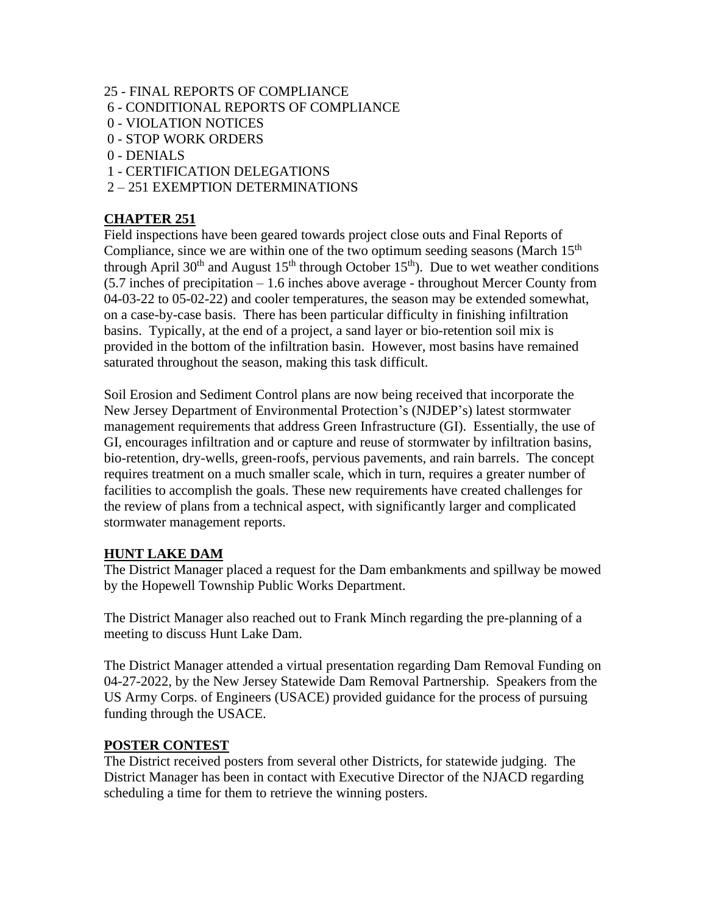#### 25 - FINAL REPORTS OF COMPLIANCE

- 6 CONDITIONAL REPORTS OF COMPLIANCE
- 0 VIOLATION NOTICES
- 0 STOP WORK ORDERS
- 0 DENIALS
- 1 CERTIFICATION DELEGATIONS
- 2 251 EXEMPTION DETERMINATIONS

# **CHAPTER 251**

Field inspections have been geared towards project close outs and Final Reports of Compliance, since we are within one of the two optimum seeding seasons (March  $15<sup>th</sup>$ through April 30<sup>th</sup> and August 15<sup>th</sup> through October 15<sup>th</sup>). Due to wet weather conditions (5.7 inches of precipitation – 1.6 inches above average - throughout Mercer County from 04-03-22 to 05-02-22) and cooler temperatures, the season may be extended somewhat, on a case-by-case basis. There has been particular difficulty in finishing infiltration basins. Typically, at the end of a project, a sand layer or bio-retention soil mix is provided in the bottom of the infiltration basin. However, most basins have remained saturated throughout the season, making this task difficult.

Soil Erosion and Sediment Control plans are now being received that incorporate the New Jersey Department of Environmental Protection's (NJDEP's) latest stormwater management requirements that address Green Infrastructure (GI). Essentially, the use of GI, encourages infiltration and or capture and reuse of stormwater by infiltration basins, bio-retention, dry-wells, green-roofs, pervious pavements, and rain barrels. The concept requires treatment on a much smaller scale, which in turn, requires a greater number of facilities to accomplish the goals. These new requirements have created challenges for the review of plans from a technical aspect, with significantly larger and complicated stormwater management reports.

#### **HUNT LAKE DAM**

The District Manager placed a request for the Dam embankments and spillway be mowed by the Hopewell Township Public Works Department.

The District Manager also reached out to Frank Minch regarding the pre-planning of a meeting to discuss Hunt Lake Dam.

The District Manager attended a virtual presentation regarding Dam Removal Funding on 04-27-2022, by the New Jersey Statewide Dam Removal Partnership. Speakers from the US Army Corps. of Engineers (USACE) provided guidance for the process of pursuing funding through the USACE.

#### **POSTER CONTEST**

The District received posters from several other Districts, for statewide judging. The District Manager has been in contact with Executive Director of the NJACD regarding scheduling a time for them to retrieve the winning posters.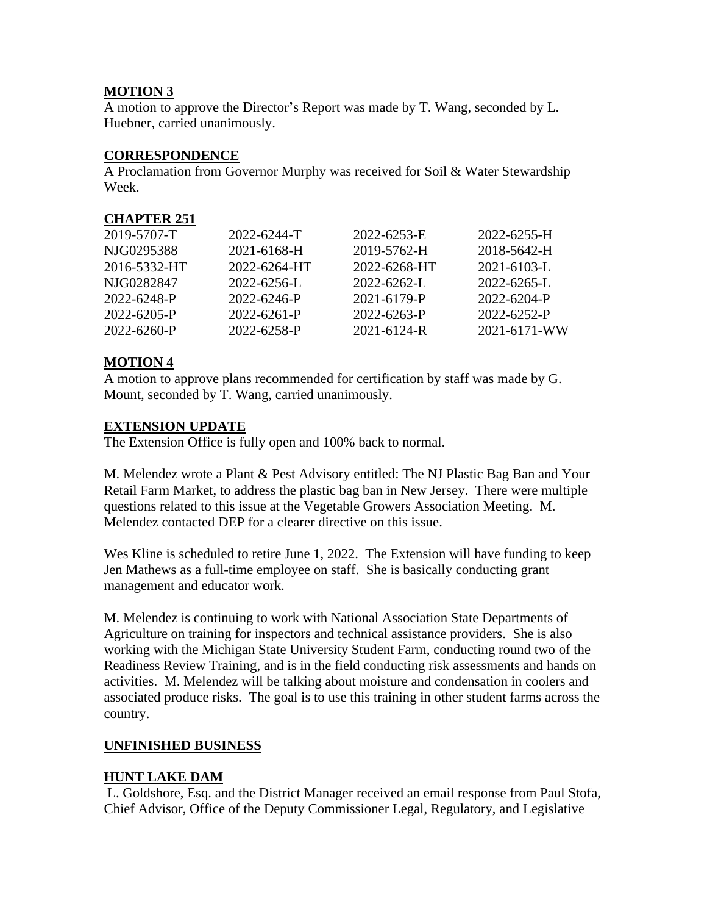## **MOTION 3**

A motion to approve the Director's Report was made by T. Wang, seconded by L. Huebner, carried unanimously.

# **CORRESPONDENCE**

A Proclamation from Governor Murphy was received for Soil & Water Stewardship Week.

# **CHAPTER 251**

|              | 2022-6244-T  | 2022-6253-E  | 2022-6255-H  |
|--------------|--------------|--------------|--------------|
| 2019-5707-T  |              |              |              |
| NJG0295388   | 2021-6168-H  | 2019-5762-H  | 2018-5642-H  |
| 2016-5332-HT | 2022-6264-HT | 2022-6268-HT | 2021-6103-L  |
| NIG0282847   | 2022-6256-L  | 2022-6262-L  | 2022-6265-L  |
| 2022-6248-P  | 2022-6246-P  | 2021-6179-P  | 2022-6204-P  |
| 2022-6205-P  | 2022-6261-P  | 2022-6263-P  | 2022-6252-P  |
| 2022-6260-P  | 2022-6258-P  | 2021-6124-R  | 2021-6171-WW |
|              |              |              |              |

# **MOTION 4**

A motion to approve plans recommended for certification by staff was made by G. Mount, seconded by T. Wang, carried unanimously.

# **EXTENSION UPDATE**

The Extension Office is fully open and 100% back to normal.

M. Melendez wrote a Plant & Pest Advisory entitled: The NJ Plastic Bag Ban and Your Retail Farm Market, to address the plastic bag ban in New Jersey. There were multiple questions related to this issue at the Vegetable Growers Association Meeting. M. Melendez contacted DEP for a clearer directive on this issue.

Wes Kline is scheduled to retire June 1, 2022. The Extension will have funding to keep Jen Mathews as a full-time employee on staff. She is basically conducting grant management and educator work.

M. Melendez is continuing to work with National Association State Departments of Agriculture on training for inspectors and technical assistance providers. She is also working with the Michigan State University Student Farm, conducting round two of the Readiness Review Training, and is in the field conducting risk assessments and hands on activities. M. Melendez will be talking about moisture and condensation in coolers and associated produce risks. The goal is to use this training in other student farms across the country.

# **UNFINISHED BUSINESS**

## **HUNT LAKE DAM**

L. Goldshore, Esq. and the District Manager received an email response from Paul Stofa, Chief Advisor, Office of the Deputy Commissioner Legal, Regulatory, and Legislative